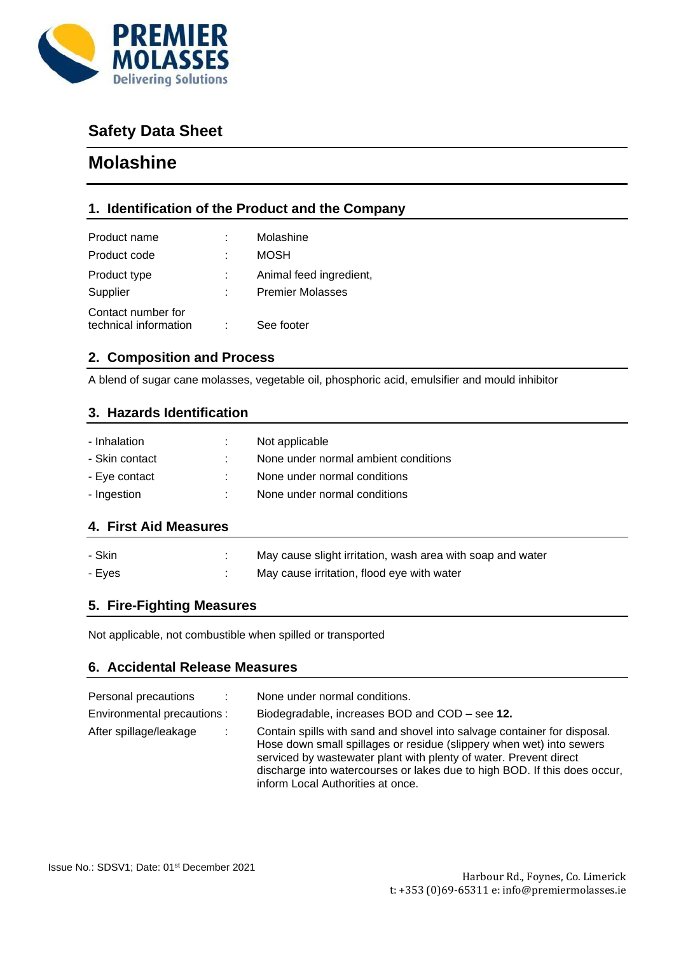

# **Safety Data Sheet**

# **Molashine**

# **1. Identification of the Product and the Company**

| Product name                                | Molashine               |
|---------------------------------------------|-------------------------|
| Product code                                | <b>MOSH</b>             |
| Product type                                | Animal feed ingredient, |
| Supplier                                    | <b>Premier Molasses</b> |
| Contact number for<br>technical information | See footer              |

## **2. Composition and Process**

A blend of sugar cane molasses, vegetable oil, phosphoric acid, emulsifier and mould inhibitor

#### **3. Hazards Identification**

| - Inhalation   | Not applicable                       |
|----------------|--------------------------------------|
| - Skin contact | None under normal ambient conditions |
| - Eve contact  | None under normal conditions         |
| - Ingestion    | None under normal conditions         |
|                |                                      |

## **4. First Aid Measures**

| - Skin | May cause slight irritation, wash area with soap and water |
|--------|------------------------------------------------------------|
| - Eves | May cause irritation, flood eye with water                 |

## **5. Fire-Fighting Measures**

Not applicable, not combustible when spilled or transported

## **6. Accidental Release Measures**

| Personal precautions<br>Environmental precautions : | <b>COLLEGE</b> | None under normal conditions.<br>Biodegradable, increases BOD and COD – see 12.                                                                                                                                                                                                                                                         |
|-----------------------------------------------------|----------------|-----------------------------------------------------------------------------------------------------------------------------------------------------------------------------------------------------------------------------------------------------------------------------------------------------------------------------------------|
| After spillage/leakage                              |                | Contain spills with sand and shovel into salvage container for disposal.<br>Hose down small spillages or residue (slippery when wet) into sewers<br>serviced by wastewater plant with plenty of water. Prevent direct<br>discharge into watercourses or lakes due to high BOD. If this does occur,<br>inform Local Authorities at once. |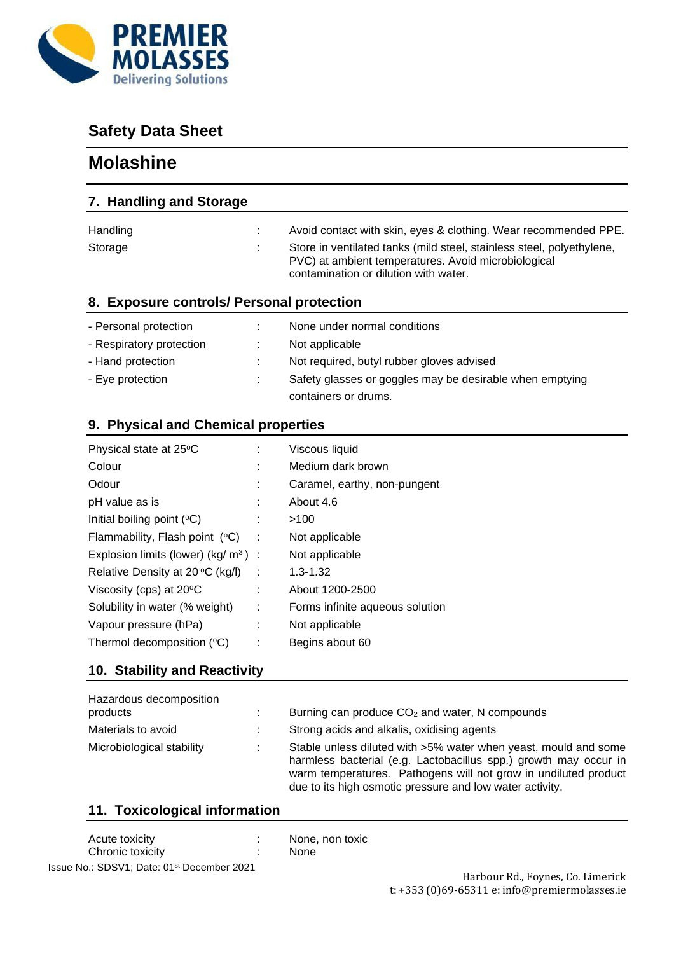

# **Safety Data Sheet**

# **Molashine**

| 7. Handling and Storage                           |                                                                                                                                                                       |
|---------------------------------------------------|-----------------------------------------------------------------------------------------------------------------------------------------------------------------------|
| Handling                                          | Avoid contact with skin, eyes & clothing. Wear recommended PPE.                                                                                                       |
| Storage                                           | Store in ventilated tanks (mild steel, stainless steel, polyethylene,<br>PVC) at ambient temperatures. Avoid microbiological<br>contamination or dilution with water. |
| 8. Exposure controls/ Personal protection         |                                                                                                                                                                       |
| - Personal protection<br>- Respiratory protection | None under normal conditions<br>Not applicable                                                                                                                        |

| - Respiratory protection |     | <b>NOT applicable</b>                                    |
|--------------------------|-----|----------------------------------------------------------|
| - Hand protection        |     | Not required, butyl rubber gloves advised                |
| - Eye protection         | . . | Safety glasses or goggles may be desirable when emptying |
|                          |     | containers or drums.                                     |

# **9. Physical and Chemical properties**

| Physical state at 25°C                             |   | Viscous liquid                  |
|----------------------------------------------------|---|---------------------------------|
| Colour                                             |   | Medium dark brown               |
| Odour                                              |   | Caramel, earthy, non-pungent    |
| pH value as is                                     |   | About 4.6                       |
| Initial boiling point $(°C)$                       |   | >100                            |
| Flammability, Flash point $(°C)$                   |   | Not applicable                  |
| Explosion limits (lower) $(kg/m3)$ :               |   | Not applicable                  |
| Relative Density at 20 $\mathrm{^{\circ}C}$ (kg/l) | ÷ | $1.3 - 1.32$                    |
| Viscosity (cps) at 20°C                            |   | About 1200-2500                 |
| Solubility in water (% weight)                     | ÷ | Forms infinite aqueous solution |
| Vapour pressure (hPa)                              |   | Not applicable                  |
| Thermol decomposition $(°C)$                       |   | Begins about 60                 |

# **10. Stability and Reactivity**

| Hazardous decomposition<br>products | Burning can produce $CO2$ and water, N compounds                                                                                                                                                                                                                   |
|-------------------------------------|--------------------------------------------------------------------------------------------------------------------------------------------------------------------------------------------------------------------------------------------------------------------|
| Materials to avoid                  | Strong acids and alkalis, oxidising agents                                                                                                                                                                                                                         |
| Microbiological stability           | Stable unless diluted with >5% water when yeast, mould and some<br>harmless bacterial (e.g. Lactobacillus spp.) growth may occur in<br>warm temperatures. Pathogens will not grow in undiluted product<br>due to its high osmotic pressure and low water activity. |

# **11. Toxicological information**

| Acute toxicity                                         | $\mathcal{L}_{\mathcal{A}}$ | None |
|--------------------------------------------------------|-----------------------------|------|
| Chronic toxicity                                       | $\overline{\phantom{a}}$    | None |
| Issue No.: SDSV1; Date: 01 <sup>st</sup> December 2021 |                             |      |

ne, non toxic